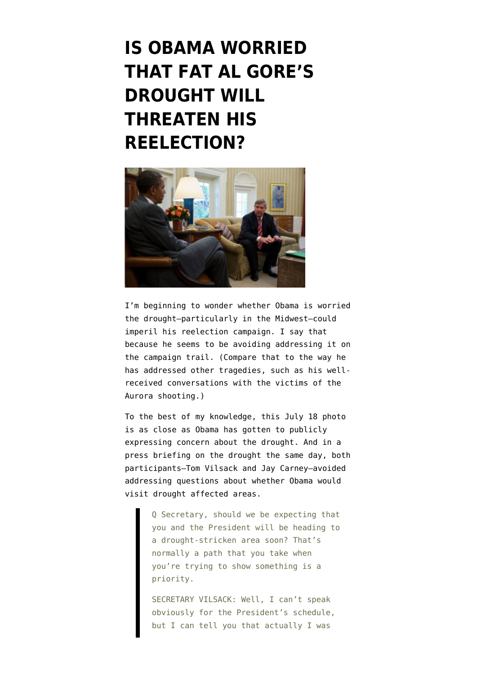## **[IS OBAMA WORRIED](https://www.emptywheel.net/2012/07/26/is-obama-worried-that-fat-al-gores-drought-will-threaten-his-reelection/) [THAT FAT AL GORE'S](https://www.emptywheel.net/2012/07/26/is-obama-worried-that-fat-al-gores-drought-will-threaten-his-reelection/) [DROUGHT WILL](https://www.emptywheel.net/2012/07/26/is-obama-worried-that-fat-al-gores-drought-will-threaten-his-reelection/) [THREATEN HIS](https://www.emptywheel.net/2012/07/26/is-obama-worried-that-fat-al-gores-drought-will-threaten-his-reelection/) [REELECTION?](https://www.emptywheel.net/2012/07/26/is-obama-worried-that-fat-al-gores-drought-will-threaten-his-reelection/)**



I'm beginning to wonder whether Obama is worried the drought–particularly in the Midwest–could imperil his reelection campaign. I say that because he seems to be avoiding addressing it on the campaign trail. (Compare that to the way he has addressed other tragedies, such as his wellreceived conversations with the victims of the Aurora shooting.)

To the best of my knowledge, this [July 18 photo](https://secure.flickr.com/photos/whitehouse/7598470502/in/photostream) is as close as Obama has gotten to publicly expressing concern about the drought. And in a press briefing on the drought the same day, both participants–Tom Vilsack and Jay Carney–avoided addressing questions about whether Obama would visit drought affected areas.

> Q Secretary, should we be expecting that you and the President will be heading to a drought-stricken area soon? That's normally a path that you take when you're trying to show something is a priority.

SECRETARY VILSACK: Well, I can't speak obviously for the President's schedule, but I can tell you that actually I was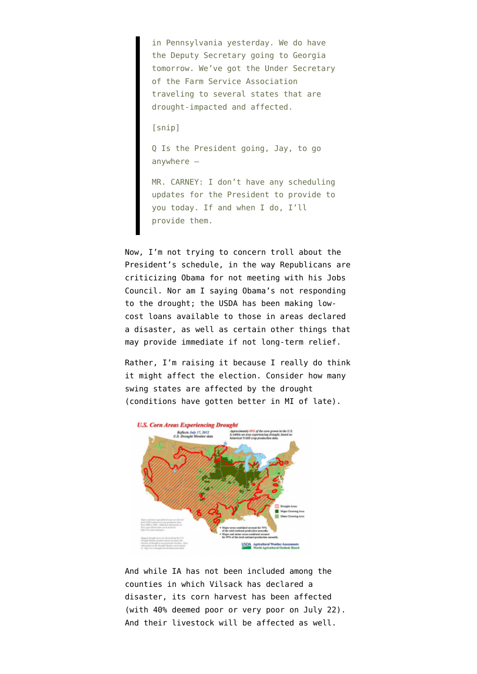in Pennsylvania yesterday. We do have the Deputy Secretary going to Georgia tomorrow. We've got the Under Secretary of the Farm Service Association traveling to several states that are drought-impacted and affected.

[snip]

Q Is the President going, Jay, to go anywhere —

MR. CARNEY: I don't have any scheduling updates for the President to provide to you today. If and when I do, I'll provide them.

Now, I'm not trying to concern troll about the President's schedule, in the way Republicans are criticizing Obama for not meeting with his Jobs Council. Nor am I saying Obama's not responding to the drought; the USDA has been making lowcost loans available to those in areas declared a disaster, as well as certain other things that may provide immediate if not long-term relief.

Rather, I'm raising it because I really do think it might affect the election. Consider how many swing states are affected by the drought (conditions have gotten better in MI of late).



And while IA has not been included among the [counties](http://www.usda.gov/documents/usda-drought-fast-track-designations-072512.pdf) in which Vilsack has declared a disaster, its [corn harvest has been affected](https://secure.flickr.com/photos/usdagov/7632641504/sizes/c/in/photostream/) (with 40% deemed poor or very poor on July 22). And their livestock will be affected as well.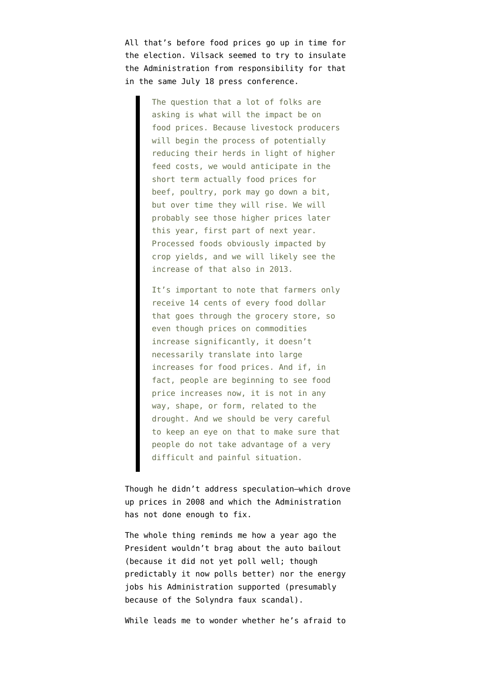All that's before food prices go up in time for the election. Vilsack seemed to try to insulate the Administration from responsibility for that in the same July 18 press conference.

> The question that a lot of folks are asking is what will the impact be on food prices. Because livestock producers will begin the process of potentially reducing their herds in light of higher feed costs, we would anticipate in the short term actually food prices for beef, poultry, pork may go down a bit, but over time they will rise. We will probably see those higher prices later this year, first part of next year. Processed foods obviously impacted by crop yields, and we will likely see the increase of that also in 2013.

> It's important to note that farmers only receive 14 cents of every food dollar that goes through the grocery store, so even though prices on commodities increase significantly, it doesn't necessarily translate into large increases for food prices. And if, in fact, people are beginning to see food price increases now, it is not in any way, shape, or form, related to the drought. And we should be very careful to keep an eye on that to make sure that people do not take advantage of a very difficult and painful situation.

Though he didn't address speculation–which drove up prices in 2008 and which the Administration has not done enough to fix.

The whole thing reminds me how a year ago the President wouldn't brag about the auto bailout (because it did not yet poll well; though predictably it now polls better) nor the energy jobs his Administration supported (presumably because of the Solyndra faux scandal).

While leads me to wonder whether he's afraid to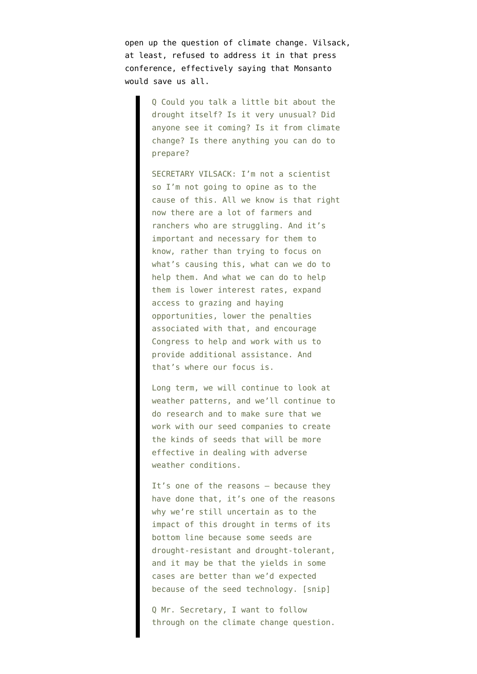open up the question of climate change. Vilsack, at least, refused to address it in that press conference, effectively saying that Monsanto would save us all.

> Q Could you talk a little bit about the drought itself? Is it very unusual? Did anyone see it coming? Is it from climate change? Is there anything you can do to prepare?

> SECRETARY VILSACK: I'm not a scientist so I'm not going to opine as to the cause of this. All we know is that right now there are a lot of farmers and ranchers who are struggling. And it's important and necessary for them to know, rather than trying to focus on what's causing this, what can we do to help them. And what we can do to help them is lower interest rates, expand access to grazing and haying opportunities, lower the penalties associated with that, and encourage Congress to help and work with us to provide additional assistance. And that's where our focus is.

Long term, we will continue to look at weather patterns, and we'll continue to do research and to make sure that we work with our seed companies to create the kinds of seeds that will be more effective in dealing with adverse weather conditions.

It's one of the reasons — because they have done that, it's one of the reasons why we're still uncertain as to the impact of this drought in terms of its bottom line because some seeds are drought-resistant and drought-tolerant, and it may be that the yields in some cases are better than we'd expected because of the seed technology. [snip]

Q Mr. Secretary, I want to follow through on the climate change question.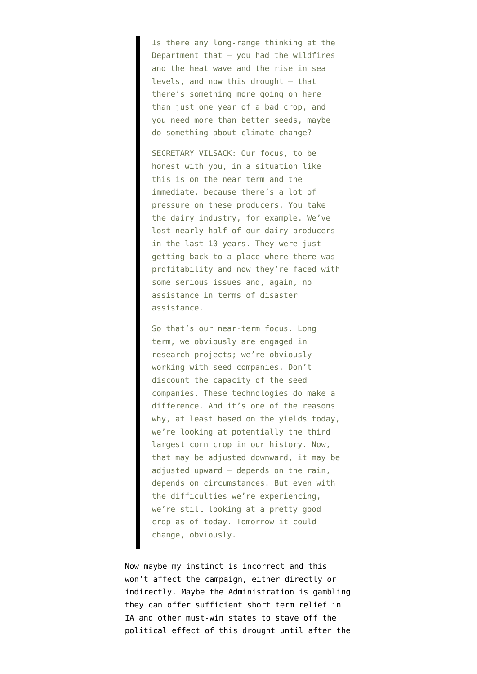Is there any long-range thinking at the Department that — you had the wildfires and the heat wave and the rise in sea levels, and now this drought — that there's something more going on here than just one year of a bad crop, and you need more than better seeds, maybe do something about climate change?

SECRETARY VILSACK: Our focus, to be honest with you, in a situation like this is on the near term and the immediate, because there's a lot of pressure on these producers. You take the dairy industry, for example. We've lost nearly half of our dairy producers in the last 10 years. They were just getting back to a place where there was profitability and now they're faced with some serious issues and, again, no assistance in terms of disaster assistance.

So that's our near-term focus. Long term, we obviously are engaged in research projects; we're obviously working with seed companies. Don't discount the capacity of the seed companies. These technologies do make a difference. And it's one of the reasons why, at least based on the yields today, we're looking at potentially the third largest corn crop in our history. Now, that may be adjusted downward, it may be adjusted upward  $-$  depends on the rain, depends on circumstances. But even with the difficulties we're experiencing, we're still looking at a pretty good crop as of today. Tomorrow it could change, obviously.

Now maybe my instinct is incorrect and this won't affect the campaign, either directly or indirectly. Maybe the Administration is gambling they can offer sufficient short term relief in IA and other must-win states to stave off the political effect of this drought until after the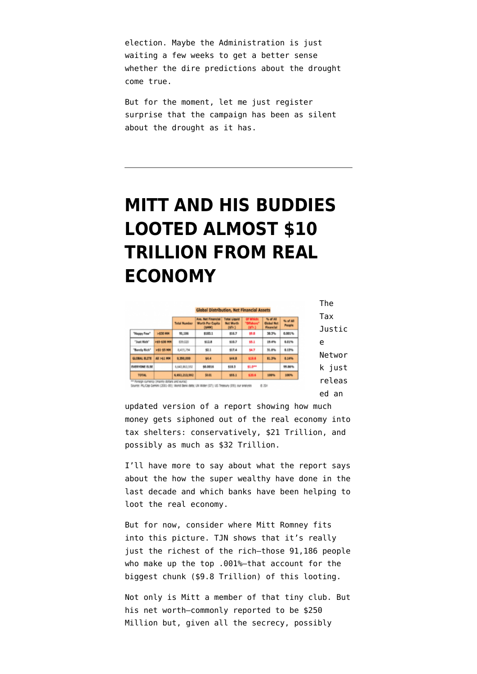election. Maybe the Administration is just waiting a few weeks to get a better sense whether the dire predictions about the drought come true.

But for the moment, let me just register surprise that the campaign has been as silent about the drought as it has.

### **[MITT AND HIS BUDDIES](https://www.emptywheel.net/2012/07/22/mitt-and-his-buddies-looted-21-trillion-from-real-economy/) [LOOTED ALMOST \\$10](https://www.emptywheel.net/2012/07/22/mitt-and-his-buddies-looted-21-trillion-from-real-economy/) [TRILLION FROM REAL](https://www.emptywheel.net/2012/07/22/mitt-and-his-buddies-looted-21-trillion-from-real-economy/) [ECONOMY](https://www.emptywheel.net/2012/07/22/mitt-and-his-buddies-looted-21-trillion-from-real-economy/)**

|                                                |             | Global Distribution, Net Financial Assets |                                                                                                  |                                                                |                                             |                                                     |                     |               |
|------------------------------------------------|-------------|-------------------------------------------|--------------------------------------------------------------------------------------------------|----------------------------------------------------------------|---------------------------------------------|-----------------------------------------------------|---------------------|---------------|
|                                                |             | <b>Total Number</b>                       | <b>Ave. Net Financial</b><br><b>Worth Per Capita</b>                                             | <b>Total Liquid</b><br><b>Net Worth</b><br>$047 - 3$<br>\$16.7 | Of Which:<br>"Diffshare"<br>(STr.)<br>\$5.8 | % of All<br><b>Clobal Net</b><br>Financial<br>30.3% | No of All<br>People | Tax<br>Justic |
| "Heppy Fow"                                    | $>530$ MM   | 91,186                                    | (4M M)<br>\$183.1                                                                                |                                                                |                                             |                                                     | 0.001%              |               |
| "Just Rich"                                    | >55-\$30 MM | 839,020                                   | \$12.8                                                                                           | \$18.7                                                         | \$5.1                                       | 29.4%                                               | 0.01%               | e             |
| "Barcly Rich"                                  | >53-55 MM   | 8,419,794                                 | 52.1                                                                                             | 517.4                                                          | \$4.7                                       | 31.6%                                               | 0.17%               |               |
| GLOBAL BLITE                                   | All >41 MM  | 9,350,000                                 | \$4.4                                                                                            | \$44.8                                                         | \$19.6                                      | 81.3%                                               | 0.14%               | Networ        |
| <b>EVERYONE ELSE</b>                           |             | 6.643.863.992                             | \$0,0015                                                                                         | 510.3                                                          | \$1.0**                                     |                                                     | 55,86%              | k just        |
| <b>TOTAL</b>                                   |             | 6.653.213.592                             | <b>SO.EL</b>                                                                                     | \$55.1                                                         | \$39.6                                      | 100%                                                | 100%                |               |
| ** Foreign currency (mainly dollars and euros) |             |                                           | Source: PIL/Cap-Cemini (2001-09); World Bank data; UN Wider (07); US Treasury (09); our analysis |                                                                |                                             | 8.391                                               |                     | releas        |
|                                                |             |                                           |                                                                                                  |                                                                |                                             |                                                     |                     | ed<br>an      |

[updated version](http://www.taxjustice.net/cms/upload/pdf/The_Price_of_Offshore_Revisited_Presser_120722.pdf) of a report showing how much money gets siphoned out of the real economy into tax shelters: conservatively, \$21 Trillion, and possibly as much as \$32 Trillion.

I'll have more to say about what the report says about the how the super wealthy have done in the last decade and which banks have been helping to loot the real economy.

But for now, consider where Mitt Romney fits into this picture. TJN shows that it's really just the richest of the rich–those 91,186 people who make up the top .001%–that account for the biggest chunk (\$9.8 Trillion) of this looting.

Not only is Mitt a member of that tiny club. But his net worth–commonly reported to be \$250 Million but, given all the secrecy, possibly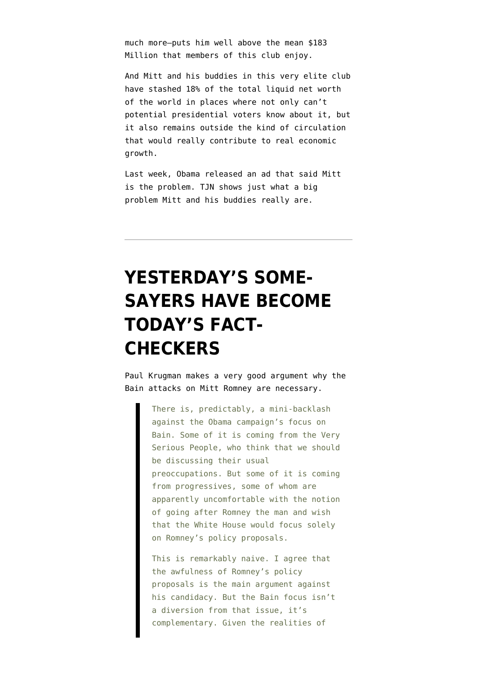much more–puts him well above the mean \$183 Million that members of this club enjoy.

And Mitt and his buddies in this very elite club have stashed 18% of the total liquid net worth of the world in places where not only can't potential presidential voters know about it, but it also remains outside the kind of circulation that would really contribute to real economic growth.

Last week, Obama released an ad that said Mitt is the problem. TJN shows just what a big problem Mitt and his buddies really are.

# **[YESTERDAY'S SOME-](https://www.emptywheel.net/2012/07/16/yesterdays-some-sayers-have-become-todays-fact-checkers/)[SAYERS HAVE BECOME](https://www.emptywheel.net/2012/07/16/yesterdays-some-sayers-have-become-todays-fact-checkers/) [TODAY'S FACT-](https://www.emptywheel.net/2012/07/16/yesterdays-some-sayers-have-become-todays-fact-checkers/)[CHECKERS](https://www.emptywheel.net/2012/07/16/yesterdays-some-sayers-have-become-todays-fact-checkers/)**

Paul Krugman [makes a very good argument](http://krugman.blogs.nytimes.com/2012/07/14/no-bain-no-gain/) why the Bain attacks on Mitt Romney are necessary.

> There is, predictably, a mini-backlash against the Obama campaign's focus on Bain. Some of it is coming from the Very Serious People, who think that we should be discussing their usual preoccupations. But some of it is coming from progressives, some of whom are apparently uncomfortable with the notion of going after Romney the man and wish that the White House would focus solely on Romney's policy proposals.

This is remarkably naive. I agree that the awfulness of Romney's policy proposals is the main argument against his candidacy. But the Bain focus isn't a diversion from that issue, it's complementary. Given the realities of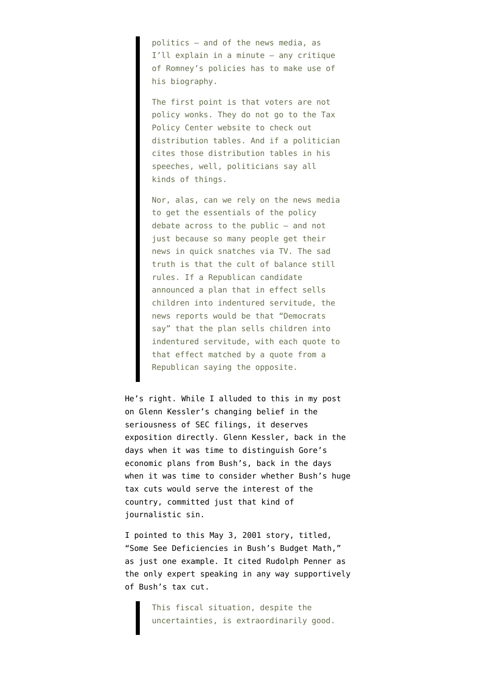politics — and of the news media, as I'll explain in a minute — any critique of Romney's policies has to make use of his biography.

The first point is that voters are not policy wonks. They do not go to the Tax Policy Center website to check out distribution tables. And if a politician cites those distribution tables in his speeches, well, politicians say all kinds of things.

Nor, alas, can we rely on the news media to get the essentials of the policy debate across to the public — and not just because so many people get their news in quick snatches via TV. The sad truth is that the cult of balance still rules. If a Republican candidate announced a plan that in effect sells children into indentured servitude, the news reports would be that "Democrats say" that the plan sells children into indentured servitude, with each quote to that effect matched by a quote from a Republican saying the opposite.

He's right. While I alluded to this in [my post](http://www.emptywheel.net/2012/07/14/glenn-kessler-didnt-used-to-treat-sec-filings-as-boilerplate/) on Glenn Kessler's changing belief in the seriousness of SEC filings, it deserves exposition directly. Glenn Kessler, back in the days when it was time to distinguish Gore's economic plans from Bush's, back in the days when it was time to consider whether Bush's huge tax cuts would serve the interest of the country, committed just that kind of journalistic sin.

I pointed to [this May 3, 2001 story](http://pqasb.pqarchiver.com/washingtonpost/access/72375127.html?FMT=FT&FMTS=ABS:FT&date=May+3%2C+2001&author=Glenn+Kessler&desc=Some+See+Deficiencies+in+Bush%27s+Budget+Math), titled, "Some See Deficiencies in Bush's Budget Math," as just one example. It cited Rudolph Penner as the only expert speaking in any way supportively of Bush's tax cut.

> This fiscal situation, despite the uncertainties, is extraordinarily good.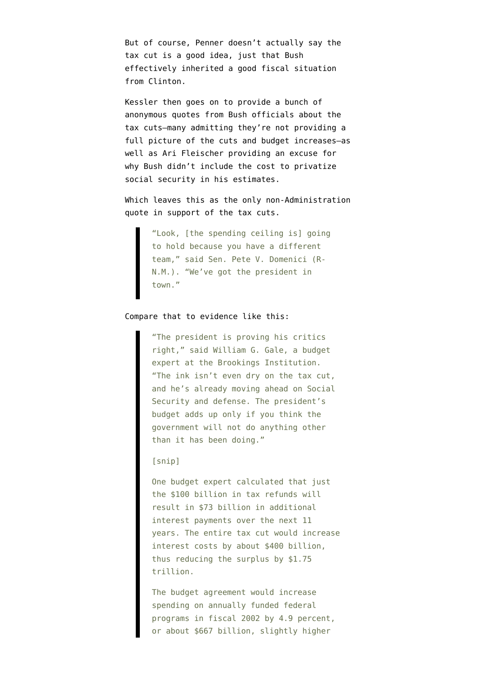But of course, Penner doesn't actually say the tax cut is a good idea, just that Bush effectively inherited a good fiscal situation from Clinton.

Kessler then goes on to provide a bunch of anonymous quotes from Bush officials about the tax cuts–many admitting they're not providing a full picture of the cuts and budget increases–as well as Ari Fleischer providing an excuse for why Bush didn't include the cost to privatize social security in his estimates.

Which leaves this as the only non-Administration quote in support of the tax cuts.

> "Look, [the spending ceiling is] going to hold because you have a different team," said Sen. Pete V. Domenici (R-N.M.). "We've got the president in town."

### Compare that to evidence like this:

"The president is proving his critics right," said William G. Gale, a budget expert at the Brookings Institution. "The ink isn't even dry on the tax cut, and he's already moving ahead on Social Security and defense. The president's budget adds up only if you think the government will not do anything other than it has been doing."

### [snip]

One budget expert calculated that just the \$100 billion in tax refunds will result in \$73 billion in additional interest payments over the next 11 years. The entire tax cut would increase interest costs by about \$400 billion, thus reducing the surplus by \$1.75 trillion.

The budget agreement would increase spending on annually funded federal programs in fiscal 2002 by 4.9 percent, or about \$667 billion, slightly higher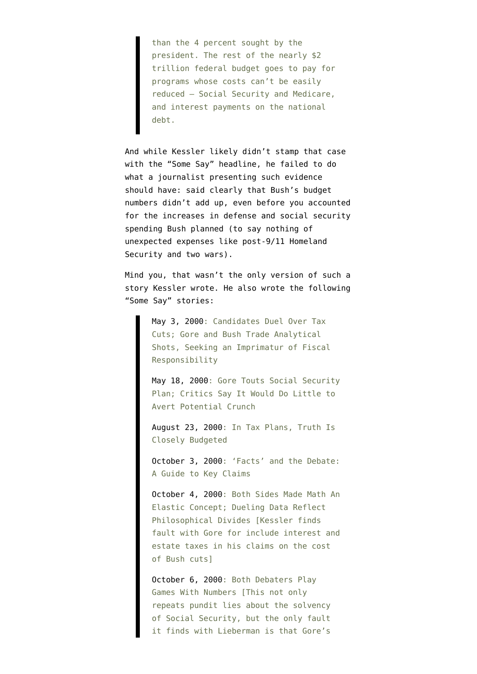than the 4 percent sought by the president. The rest of the nearly \$2 trillion federal budget goes to pay for programs whose costs can't be easily reduced — Social Security and Medicare, and interest payments on the national debt.

And while Kessler likely didn't stamp that case with the "Some Say" headline, he failed to do what a journalist presenting such evidence should have: said clearly that Bush's budget numbers didn't add up, even before you accounted for the increases in defense and social security spending Bush planned (to say nothing of unexpected expenses like post-9/11 Homeland Security and two wars).

Mind you, that wasn't the only version of such a story Kessler wrote. He also wrote the following "Some Say" stories:

> [May 3, 2000](http://pqasb.pqarchiver.com/washingtonpost/access/53409719.html?FMT=ABS&FMTS=ABS:FT&date=May+3%2C+2000&author=Glenn+Kessler&desc=Candidates+Duel+Over+Tax+Cuts%3B+Gore+and+Bush+Trade+Analytical+Shots%2C+Seeking+an+Imprimatur+of+Fiscal+Responsibility): Candidates Duel Over Tax Cuts; Gore and Bush Trade Analytical Shots, Seeking an Imprimatur of Fiscal Responsibility

[May 18, 2000](http://pqasb.pqarchiver.com/washingtonpost/access/53876788.html?FMT=ABS&FMTS=ABS:FT&date=May+18%2C+2000&author=Ceci+Connolly+and+Glenn+Kessler&desc=Gore+Touts+Social+Security+Plan%3B+Critics+Say+It+Would+Do+Little+to+Avert+Potential+Crunch): Gore Touts Social Security Plan; Critics Say It Would Do Little to Avert Potential Crunch

[August 23, 2000:](http://pqasb.pqarchiver.com/washingtonpost/access/58535703.html?FMT=ABS&FMTS=ABS:FT&date=Aug+23%2C+2000&author=Glenn+Kessler&desc=In+Tax+Plans%2C+Truth+Is+Closely+Budgeted) In Tax Plans, Truth Is Closely Budgeted

[October 3, 2000:](http://pqasb.pqarchiver.com/washingtonpost/access/61812894.html?FMT=ABS&FMTS=ABS:FT&date=Oct+3%2C+2000&author=Glenn+Kessler&desc=%27Facts%27+and+the+Debate%3A+A+Guide+to+Key+Claims) 'Facts' and the Debate: A Guide to Key Claims

[October 4, 2000:](http://pqasb.pqarchiver.com/washingtonpost/access/61955324.html?FMT=ABS&FMTS=ABS:FT&date=Oct+4%2C+2000&author=Glenn+Kessler%3BCeci+Connolly&desc=Both+Sides+Made+Math+An+Elastic+Concept%3B+Dueling+Data+Reflect+Philosophical+Divides) Both Sides Made Math An Elastic Concept; Dueling Data Reflect Philosophical Divides [Kessler finds fault with Gore for include interest and estate taxes in his claims on the cost of Bush cuts]

[October 6, 2000:](http://pqasb.pqarchiver.com/washingtonpost/access/62088796.html?FMT=ABS&FMTS=ABS:FT&date=Oct+6%2C+2000&author=Glenn+Kessler&desc=Both+Debaters+Play+Games+With+Numbers) Both Debaters Play Games With Numbers [This not only repeats pundit lies about the solvency of Social Security, but the only fault it finds with Lieberman is that Gore's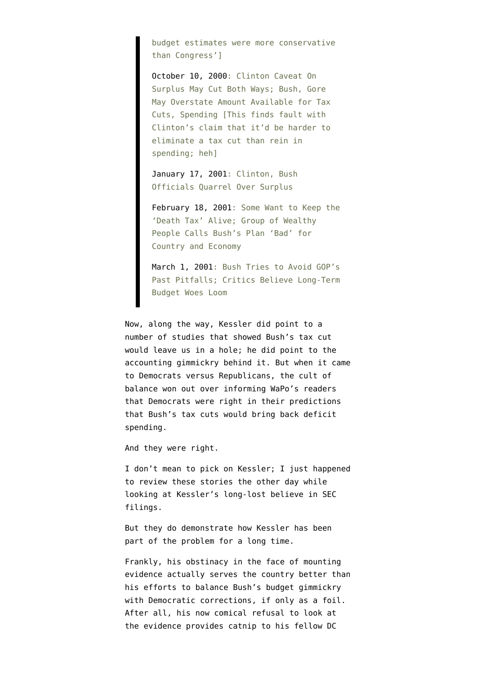budget estimates were more conservative than Congress']

[October 10, 2000:](http://pqasb.pqarchiver.com/washingtonpost/access/62301458.html?FMT=ABS&FMTS=ABS:FT&date=Oct+10%2C+2000&author=Glenn+Kessler%3BEllen+Nakashima&desc=Clinton+Caveat+On+Surplus+May+Cut+Both+Ways%3B+Bush%2C+Gore+May+Overstate+Amount+Available+for+Tax+Cuts%2C+Spending) Clinton Caveat On Surplus May Cut Both Ways; Bush, Gore May Overstate Amount Available for Tax Cuts, Spending [This finds fault with Clinton's claim that it'd be harder to eliminate a tax cut than rein in spending; heh]

[January 17, 2001:](http://pqasb.pqarchiver.com/washingtonpost/access/66854793.html?FMT=ABS&FMTS=ABS:FT&date=Jan+17%2C+2001&author=Glenn+Kessler&desc=Clinton%2C+Bush+Officials+Quarrel+Over+Surplus) Clinton, Bush Officials Quarrel Over Surplus

[February 18, 2001](http://pqasb.pqarchiver.com/washingtonpost/access/68740157.html?FMT=ABS&FMTS=ABS:FT&date=Feb+18%2C+2001&author=Glenn+Kessler+and+Dan+Morgan&desc=Some+Want+to+Keep+the+%27Death+Tax%27+Alive%3B+Group+of+Wealthy+People+Calls+Bush%27s+Plan+%27Bad%27+for+Country+and+Economy): Some Want to Keep the 'Death Tax' Alive; Group of Wealthy People Calls Bush's Plan 'Bad' for Country and Economy

[March 1, 2001:](http://pqasb.pqarchiver.com/washingtonpost/access/69128414.html?FMT=ABS&FMTS=ABS:FT&date=Mar+1%2C+2001&author=Glenn+Kessler&desc=Bush+Tries+to+Avoid+GOP%27s+Past+Pitfalls%3B+Critics+Believe+Long-Term+Budget+Woes+Loom) Bush Tries to Avoid GOP's Past Pitfalls; Critics Believe Long-Term Budget Woes Loom

Now, along the way, Kessler did point to a number of studies that showed Bush's tax cut would leave us in a hole; he did point to the accounting gimmickry behind it. But when it came to Democrats versus Republicans, the cult of balance won out over informing WaPo's readers that Democrats were right in their predictions that Bush's tax cuts would bring back deficit spending.

And they were right.

I don't mean to pick on Kessler; I just happened to review these stories the other day while looking at Kessler's long-lost believe in SEC filings.

But they do demonstrate how Kessler has been part of the problem for a long time.

Frankly, his obstinacy in the face of mounting evidence actually serves the country better than his efforts to balance Bush's budget gimmickry with Democratic corrections, if only as a foil. After all, his now comical refusal to look at the evidence provides catnip to his fellow DC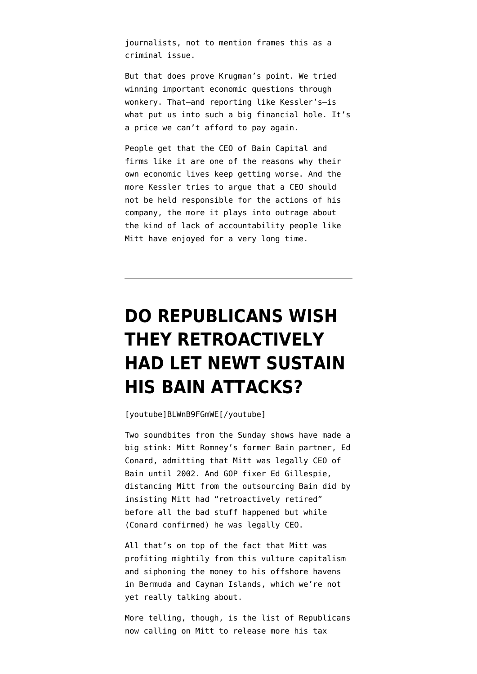journalists, not to mention frames this as a criminal issue.

But that does prove Krugman's point. We tried winning important economic questions through wonkery. That–and reporting like Kessler's–is what put us into such a big financial hole. It's a price we can't afford to pay again.

People get that the CEO of Bain Capital and firms like it are one of the reasons why their own economic lives keep getting worse. And the more Kessler tries to argue that a CEO should not be held responsible for the actions of his company, the more it plays into outrage about the kind of lack of accountability people like Mitt have enjoyed for a very long time.

# **[DO REPUBLICANS WISH](https://www.emptywheel.net/2012/07/15/do-republicans-wish-they-retroactively-had-let-newt-sustain-his-bain-attacks/) [THEY RETROACTIVELY](https://www.emptywheel.net/2012/07/15/do-republicans-wish-they-retroactively-had-let-newt-sustain-his-bain-attacks/) [HAD LET NEWT SUSTAIN](https://www.emptywheel.net/2012/07/15/do-republicans-wish-they-retroactively-had-let-newt-sustain-his-bain-attacks/) [HIS BAIN ATTACKS?](https://www.emptywheel.net/2012/07/15/do-republicans-wish-they-retroactively-had-let-newt-sustain-his-bain-attacks/)**

[youtube]BLWnB9FGmWE[/youtube]

Two soundbites from the Sunday shows have made a big stink: Mitt Romney's former Bain partner, Ed Conard, [admitting](http://upwithchrishayes.msnbc.msn.com/_news/2012/07/15/12751248-fmr-bain-partner-acknowledges-romney-was-legally-ceo-of-bain-until-2002) that Mitt was legally CEO of Bain until 2002. And GOP fixer Ed Gillespie, distancing Mitt from the outsourcing Bain did by [insisting](http://thinkprogress.org/election/2012/07/15/517751/romney-adviser-romney-not-responsible-for-bain-because-he-retired-retroactively/) Mitt had "retroactively retired" before all the bad stuff happened but while (Conard confirmed) he was legally CEO.

All that's on top of the fact that Mitt was profiting mightily from this vulture capitalism and siphoning the money to his offshore havens in Bermuda and Cayman Islands, which we're not yet really talking about.

More telling, though, is the [list of Republicans](http://thinkprogress.org/election/2012/07/15/517781/bill-kristol-romney-should-release-the-tax-returns-tomorrow/) now calling on Mitt to release more his tax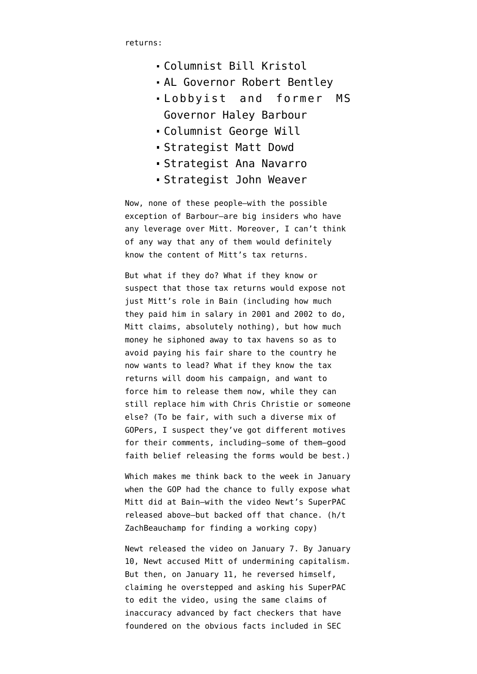returns:

- Columnist Bill Kristol
- AL Governor Robert Bentley
- Lobbyist and former MS Governor Haley Barbour
- Columnist George Will
- Strategist Matt Dowd
- Strategist Ana Navarro
- Strategist John Weaver

Now, none of these people–with the possible exception of Barbour–are big insiders who have any leverage over Mitt. Moreover, I can't think of any way that any of them would definitely know the content of Mitt's tax returns.

But what if they do? What if they know or suspect that those tax returns would expose not just Mitt's role in Bain (including how much they paid him in salary in 2001 and 2002 to do, Mitt claims, absolutely nothing), but how much money he siphoned away to tax havens so as to avoid paying his fair share to the country he now wants to lead? What if they know the tax returns will doom his campaign, and want to force him to release them now, while they can still replace him with Chris Christie or someone else? (To be fair, with such a diverse mix of GOPers, I suspect they've got different motives for their comments, including–some of them–good faith belief releasing the forms would be best.)

Which makes me think back to the week in January when the GOP had the chance to fully expose what Mitt did at Bain–with the video Newt's SuperPAC released above–but backed off that chance. (h/t [ZachBeauchamp](http://twitter.com/zackbeauchamp/statuses/224544879169122304) for finding a working copy)

Newt released the video on January 7. By January 10, Newt [accused](http://thehill.com/video/campaign/203265-gingrich-romney-firm-bain-capital-undermined-capitalism) Mitt of undermining capitalism. But then, on January 11, he reversed himself, [claiming](http://www.politico.com/news/stories/0112/71336.html) he overstepped and asking his SuperPAC to edit the video, using the same claims of inaccuracy advanced by fact checkers that have foundered on the obvious facts included in SEC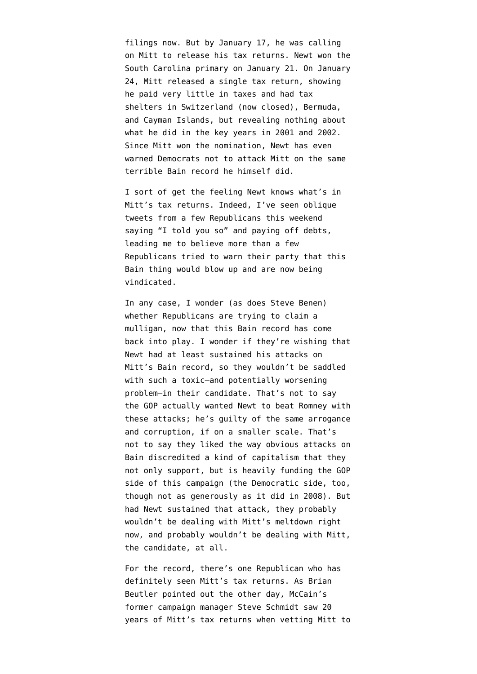filings now. But by January 17, he was [calling](http://www.nationalreview.com/corner/288363/gingrich-calls-romney-release-tax-returns-brian-bolduc) [on Mitt](http://www.nationalreview.com/corner/288363/gingrich-calls-romney-release-tax-returns-brian-bolduc) to release his tax returns. Newt [won](http://www.washingtonpost.com/blogs/election-2012/post/south-carolina-republican-primary-live-updates-photos-video/2012/01/21/gIQADpwbGQ_blog.html) the South Carolina primary on January 21. On January 24, Mitt [released](https://www.nytimes.com/2012/01/25/us/politics/romneys-tax-returns-show-21-6-million-income-in-10.html?pagewanted=all) a single tax return, showing he paid very little in taxes and had tax shelters in Switzerland (now closed), Bermuda, and Cayman Islands, but revealing nothing about what he did in the key years in 2001 and 2002. Since Mitt won the nomination, Newt has even [warned](http://www.huffingtonpost.com/2012/05/22/newt-gingrich-bain-capital_n_1534901.html) Democrats not to attack Mitt on the same terrible Bain record he himself did.

I sort of get the feeling Newt knows what's in Mitt's tax returns. Indeed, I've seen oblique tweets from a few Republicans this weekend saying "I told you so" and paying off debts, leading me to believe more than a few Republicans tried to warn their party that this Bain thing would blow up and are now being vindicated.

In any case, I wonder (as does [Steve Benen](https://twitter.com/stevebenen/status/224567607456567296)) whether Republicans are trying to claim a mulligan, now that this Bain record has come back into play. I wonder if they're wishing that Newt had at least sustained his attacks on Mitt's Bain record, so they wouldn't be saddled with such a toxic–and potentially worsening problem–in their candidate. That's not to say the GOP actually wanted Newt to beat Romney with these attacks; he's guilty of the same arrogance and corruption, if on a smaller scale. That's not to say they liked the way obvious attacks on Bain discredited a kind of capitalism that they not only support, but is heavily funding the GOP side of this campaign (the Democratic side, too, though not as generously as it did in 2008). But had Newt sustained that attack, they probably wouldn't be dealing with Mitt's meltdown right now, and probably wouldn't be dealing with Mitt, the candidate, at all.

For the record, there's one Republican who has definitely seen Mitt's tax returns. As Brian Beutler [pointed out](http://talkingpointsmemo.com/archives/2012/07/romneys_big_tax_return_tell.php) the other day, McCain's former campaign manager Steve Schmidt saw 20 years of Mitt's tax returns when vetting Mitt to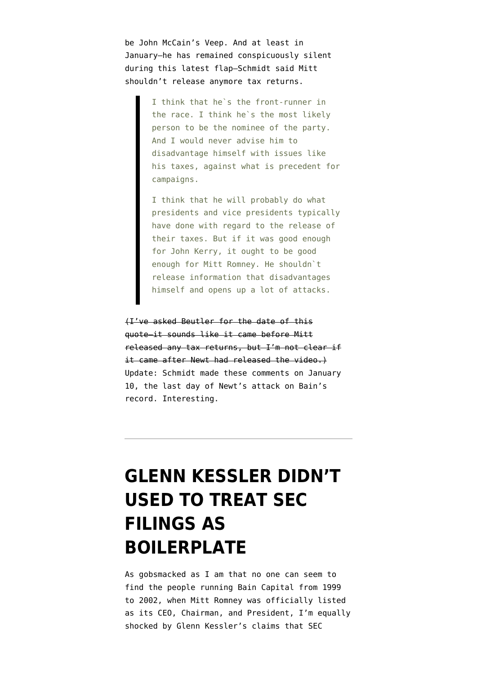be John McCain's Veep. And at least in January–he has remained conspicuously silent during this latest flap–Schmidt said Mitt shouldn't release anymore tax returns.

> I think that he`s the front-runner in the race. I think he`s the most likely person to be the nominee of the party. And I would never advise him to disadvantage himself with issues like his taxes, against what is precedent for campaigns.

> I think that he will probably do what presidents and vice presidents typically have done with regard to the release of their taxes. But if it was good enough for John Kerry, it ought to be good enough for Mitt Romney. He shouldn`t release information that disadvantages himself and opens up a lot of attacks.

(I've asked Beutler for the date of this quote–it sounds like it came before Mitt released any tax returns, but I'm not clear if it came after Newt had released the video.) Update: Schmidt made these comments on January 10, the last day of Newt's attack on Bain's record. Interesting.

# **[GLENN KESSLER DIDN'T](https://www.emptywheel.net/2012/07/14/glenn-kessler-didnt-used-to-treat-sec-filings-as-boilerplate/) [USED TO TREAT SEC](https://www.emptywheel.net/2012/07/14/glenn-kessler-didnt-used-to-treat-sec-filings-as-boilerplate/) [FILINGS AS](https://www.emptywheel.net/2012/07/14/glenn-kessler-didnt-used-to-treat-sec-filings-as-boilerplate/) [BOILERPLATE](https://www.emptywheel.net/2012/07/14/glenn-kessler-didnt-used-to-treat-sec-filings-as-boilerplate/)**

As gobsmacked as I am that no one can seem to find the people running Bain Capital from 1999 to 2002, when Mitt Romney was officially listed as its CEO, Chairman, and President, I'm equally shocked by Glenn Kessler's claims that SEC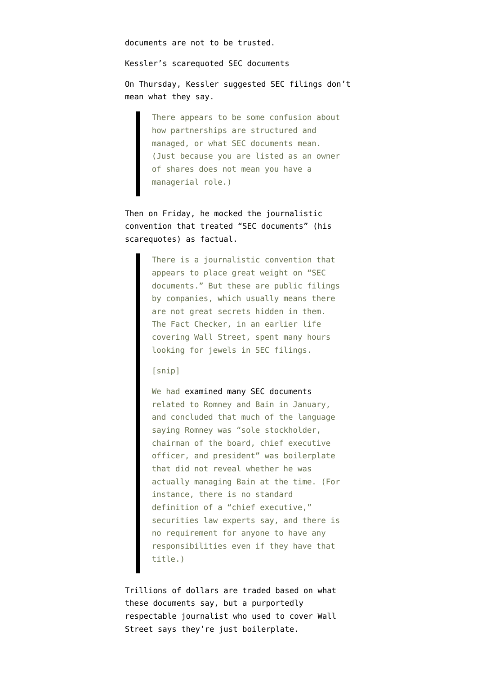documents are not to be trusted.

Kessler's scarequoted SEC documents

On Thursday, Kessler [suggested](http://www.washingtonpost.com/blogs/fact-checker/post/mitt-romney-and-his-departure-from-bain/2012/07/12/gJQAASzUfW_blog.html) SEC filings don't mean what they say.

> There appears to be some confusion about how partnerships are structured and managed, or what SEC documents mean. (Just because you are listed as an owner of shares does not mean you have a managerial role.)

Then on Friday, he [mocked](http://www.washingtonpost.com/blogs/fact-checker/post/do-bain-sec-documents-suggest-mitt-romney-is-a-criminal/2012/07/12/gJQAlyPpgW_blog.html) the journalistic convention that treated "SEC documents" (his scarequotes) as factual.

> There is a journalistic convention that appears to place great weight on "SEC documents." But these are public filings by companies, which usually means there are not great secrets hidden in them. The Fact Checker, in an earlier life covering Wall Street, spent many hours looking for jewels in SEC filings.

### [snip]

We had [examined many SEC documents](http://www.washingtonpost.com/blogs/fact-checker/post/the-obama-campaigns-suspect-claim-about-romneys-role-in-store-closings/2012/01/17/gIQA6wey6P_blog.html) related to Romney and Bain in January, and concluded that much of the language saying Romney was "sole stockholder, chairman of the board, chief executive officer, and president" was boilerplate that did not reveal whether he was actually managing Bain at the time. (For instance, there is no standard definition of a "chief executive," securities law experts say, and there is no requirement for anyone to have any responsibilities even if they have that title.)

Trillions of dollars are traded based on what these documents say, but a purportedly respectable journalist who used to cover Wall Street says they're just boilerplate.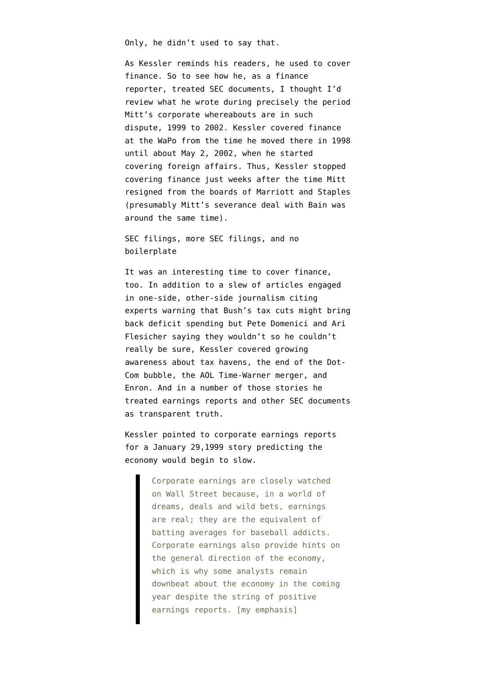Only, he didn't used to say that.

As Kessler reminds his readers, he used to cover finance. So to see how he, as a finance reporter, treated SEC documents, I thought I'd review what he wrote during precisely the period Mitt's corporate whereabouts are in such dispute, 1999 to 2002. Kessler covered finance at the WaPo from the time he moved there in 1998 until about May 2, 2002, when he started covering foreign affairs. Thus, Kessler stopped covering finance just weeks after the time Mitt resigned from the boards of Marriott and Staples (presumably Mitt's severance deal with Bain was around the same time).

SEC filings, more SEC filings, and no boilerplate

It was an interesting time to cover finance, too. In addition to a slew of articles engaged in one-side, other-side journalism citing experts [warning that Bush's tax cuts](https://secure.pqarchiver.com/washingtonpost/access/72375127.html) might bring back deficit spending but Pete Domenici and Ari Flesicher saying they wouldn't so he couldn't really be sure, Kessler covered growing awareness about tax havens, the end of the Dot-Com bubble, the AOL Time-Warner merger, and Enron. And in a number of those stories he treated earnings reports and other SEC documents as transparent truth.

Kessler [pointed to corporate earnings reports](https://secure.pqarchiver.com/washingtonpost/access/38580969.html) for a January 29,1999 story predicting the economy would begin to slow.

> Corporate earnings are closely watched on Wall Street because, in a world of dreams, deals and wild bets, earnings are real; they are the equivalent of batting averages for baseball addicts. Corporate earnings also provide hints on the general direction of the economy, which is why some analysts remain downbeat about the economy in the coming year despite the string of positive earnings reports. [my emphasis]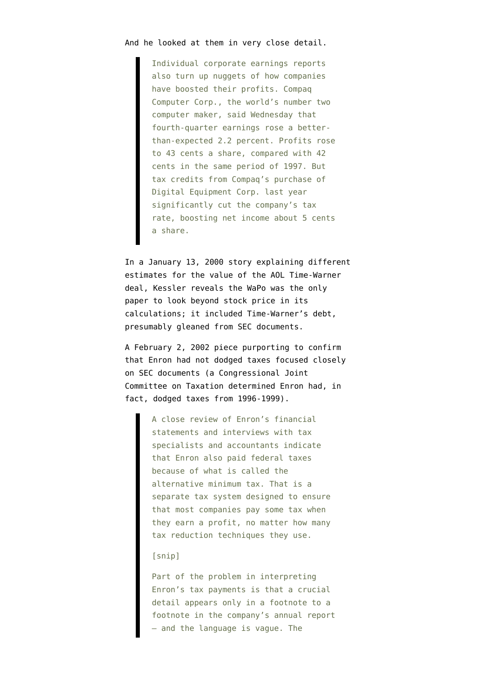### And he looked at them in very close detail.

Individual corporate earnings reports also turn up nuggets of how companies have boosted their profits. Compaq Computer Corp., the world's number two computer maker, said Wednesday that fourth-quarter earnings rose a betterthan-expected 2.2 percent. Profits rose to 43 cents a share, compared with 42 cents in the same period of 1997. But tax credits from Compaq's purchase of Digital Equipment Corp. last year significantly cut the company's tax rate, boosting net income about 5 cents a share.

In a [January 13, 2000 story](https://secure.pqarchiver.com/washingtonpost/access/47850262.html) explaining different estimates for the value of the AOL Time-Warner deal, Kessler reveals the WaPo was the only paper to look beyond stock price in its calculations; it included Time-Warner's debt, presumably gleaned from SEC documents.

A [February 2, 2002 piece](http://pqasb.pqarchiver.com/washingtonpost/access/104626820.html?FMT=ABS&FMTS=ABS:FT&date=Feb+3%2C+2002&author=Glenn+Kessler&desc=Enron+Appears+to+Have+Paid+Taxes) purporting to confirm that Enron had not dodged taxes focused closely on SEC documents (a Congressional Joint Committee on Taxation [determined](https://encrypted.google.com/url?sa=t&rct=j&q=enron%20tax%20payments&source=web&cd=10&ved=0CG4QFjAJ&url=http%3A%2F%2Fwww.jct.gov%2Fs-3-03-vol1.pdf&ei=saIBUImmO9Gi0gHN4ZzjBw&usg=AFQjCNFejImp0Y8ZXifzHJdWl2Bda1D5dg&cad=rja) Enron had, in fact, dodged taxes from 1996-1999).

> A close review of Enron's financial statements and interviews with tax specialists and accountants indicate that Enron also paid federal taxes because of what is called the alternative minimum tax. That is a separate tax system designed to ensure that most companies pay some tax when they earn a profit, no matter how many tax reduction techniques they use.

### [snip]

Part of the problem in interpreting Enron's tax payments is that a crucial detail appears only in a footnote to a footnote in the company's annual report — and the language is vague. The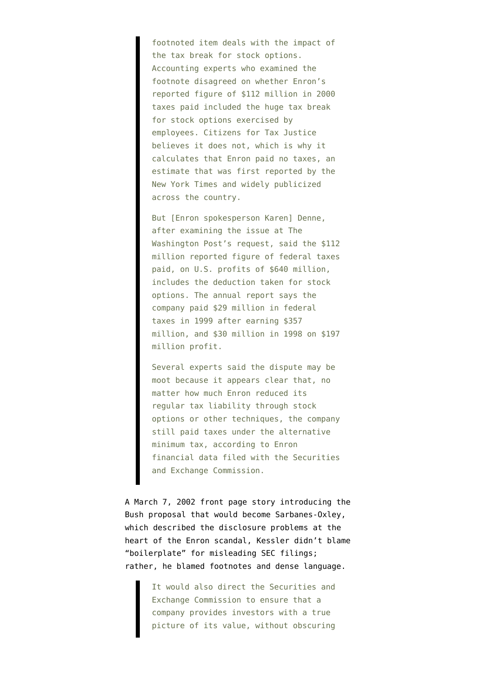footnoted item deals with the impact of the tax break for stock options. Accounting experts who examined the footnote disagreed on whether Enron's reported figure of \$112 million in 2000 taxes paid included the huge tax break for stock options exercised by employees. Citizens for Tax Justice believes it does not, which is why it calculates that Enron paid no taxes, an estimate that was first reported by the New York Times and widely publicized across the country.

But [Enron spokesperson Karen] Denne, after examining the issue at The Washington Post's request, said the \$112 million reported figure of federal taxes paid, on U.S. profits of \$640 million, includes the deduction taken for stock options. The annual report says the company paid \$29 million in federal taxes in 1999 after earning \$357 million, and \$30 million in 1998 on \$197 million profit.

Several experts said the dispute may be moot because it appears clear that, no matter how much Enron reduced its regular tax liability through stock options or other techniques, the company still paid taxes under the alternative minimum tax, according to Enron financial data filed with the Securities and Exchange Commission.

A [March 7, 2002 front page story](http://pqasb.pqarchiver.com/washingtonpost/access/110223736.html?FMT=ABS&FMTS=ABS:FT&date=Mar+7%2C+2002&author=Glenn+Kessler&desc=Bush+Plan+Puts+CEOs+On+Notice%3B+New+Accountability+For+Accounting) introducing the Bush proposal that would become Sarbanes-Oxley, which described the disclosure problems at the heart of the Enron scandal, Kessler didn't blame "boilerplate" for misleading SEC filings; rather, he blamed footnotes and dense language.

> It would also direct the Securities and Exchange Commission to ensure that a company provides investors with a true picture of its value, without obscuring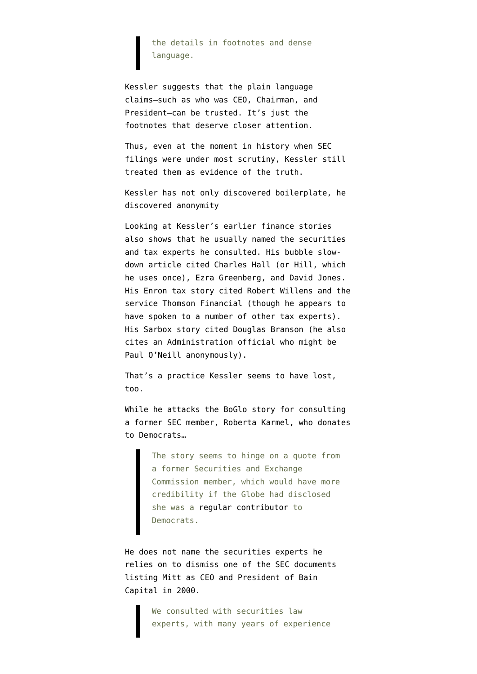the details in footnotes and dense language.

Kessler suggests that the plain language claims–such as who was CEO, Chairman, and President–can be trusted. It's just the footnotes that deserve closer attention.

Thus, even at the moment in history when SEC filings were under most scrutiny, Kessler still treated them as evidence of the truth.

Kessler has not only discovered boilerplate, he discovered anonymity

Looking at Kessler's earlier finance stories also shows that he usually named the securities and tax experts he consulted. His bubble slowdown article cited Charles Hall (or Hill, which he uses once), Ezra Greenberg, and David Jones. His Enron tax story cited Robert Willens and the service Thomson Financial (though he appears to have spoken to a number of other tax experts). His Sarbox story cited Douglas Branson (he also cites an Administration official who might be Paul O'Neill anonymously).

That's a practice Kessler seems to have lost, too.

While he attacks the [BoGlo story](http://www.boston.com/news/politics/articles/2012/07/12/government_documents_indicate_mitt_romney_continued_at_bain_after_date_when_he_says_he_left/) for consulting a former SEC member, Roberta Karmel, who donates to Democrats…

> The story seems to hinge on a quote from a former Securities and Exchange Commission member, which would have more credibility if the Globe had disclosed she was a [regular contributor](http://www.opensecrets.org/indivs/search.php?name=karmel%2C+roberta&state=NY&zip=&employ=&cand=&old=Y&sort=N&capcode=qzvjc&submit=Submit+your+Donor+Query) to Democrats.

He does not name the securities experts he relies on to dismiss one of the SEC documents listing Mitt as CEO and President of Bain Capital in 2000.

> We consulted with securities law experts, with many years of experience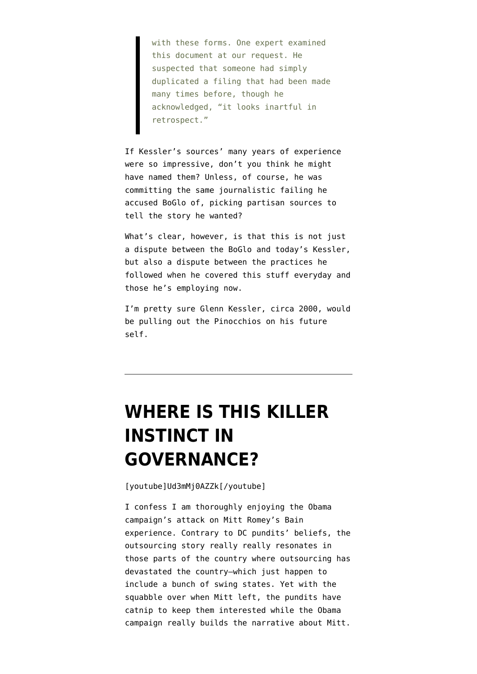with these forms. One expert examined this document at our request. He suspected that someone had simply duplicated a filing that had been made many times before, though he acknowledged, "it looks inartful in retrospect."

If Kessler's sources' many years of experience were so impressive, don't you think he might have named them? Unless, of course, he was committing the same journalistic failing he accused BoGlo of, picking partisan sources to tell the story he wanted?

What's clear, however, is that this is not just a dispute between the BoGlo and today's Kessler, but also a dispute between the practices he followed when he covered this stuff everyday and those he's employing now.

I'm pretty sure Glenn Kessler, circa 2000, would be pulling out the Pinocchios on his future self.

# **[WHERE IS THIS KILLER](https://www.emptywheel.net/2012/07/14/where-is-this-killer-instinct-in-governance/) [INSTINCT IN](https://www.emptywheel.net/2012/07/14/where-is-this-killer-instinct-in-governance/) [GOVERNANCE?](https://www.emptywheel.net/2012/07/14/where-is-this-killer-instinct-in-governance/)**

[youtube]Ud3mMj0AZZk[/youtube]

I confess I am thoroughly enjoying the Obama campaign's attack on Mitt Romey's Bain experience. Contrary to DC pundits' beliefs, the outsourcing story really really resonates in those parts of the country where outsourcing has devastated the country–which just happen to include a bunch of swing states. Yet with the squabble over when Mitt left, the pundits have catnip to keep them interested while the Obama campaign really builds the narrative about Mitt.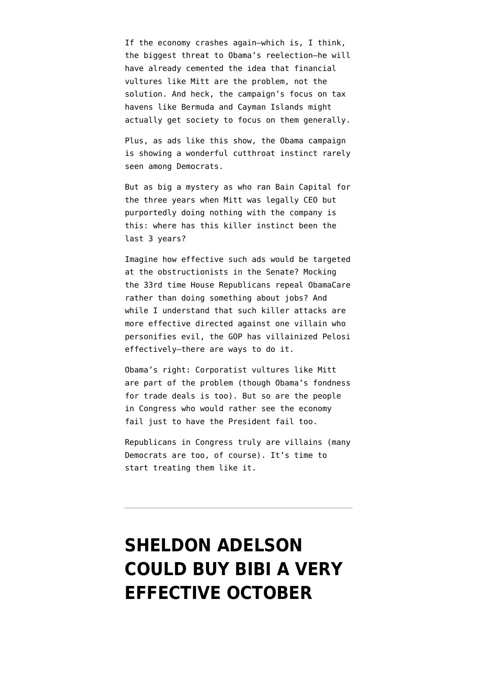If the economy crashes again–which is, I think, the biggest threat to Obama's reelection–he will have already cemented the idea that financial vultures like Mitt are the problem, not the solution. And heck, the campaign's focus on tax havens like Bermuda and Cayman Islands might actually get society to focus on them generally.

Plus, as ads like this show, the Obama campaign is showing a wonderful cutthroat instinct rarely seen among Democrats.

But as big a mystery as who ran Bain Capital for the three years when Mitt was legally CEO but purportedly doing nothing with the company is this: where has this killer instinct been the last 3 years?

Imagine how effective such ads would be targeted at the obstructionists in the Senate? Mocking the 33rd time House Republicans repeal ObamaCare rather than doing something about jobs? And while I understand that such killer attacks are more effective directed against one villain who personifies evil, the GOP has villainized Pelosi effectively–there are ways to do it.

Obama's right: Corporatist vultures like Mitt are part of the problem (though Obama's fondness for trade deals is too). But so are the people in Congress who would rather see the economy fail just to have the President fail too.

Republicans in Congress truly are villains (many Democrats are too, of course). It's time to start treating them like it.

# **[SHELDON ADELSON](https://www.emptywheel.net/2012/06/14/sheldon-adelson-will-buy-a-very-effective-october-surprise/) [COULD BUY BIBI A VERY](https://www.emptywheel.net/2012/06/14/sheldon-adelson-will-buy-a-very-effective-october-surprise/) [EFFECTIVE OCTOBER](https://www.emptywheel.net/2012/06/14/sheldon-adelson-will-buy-a-very-effective-october-surprise/)**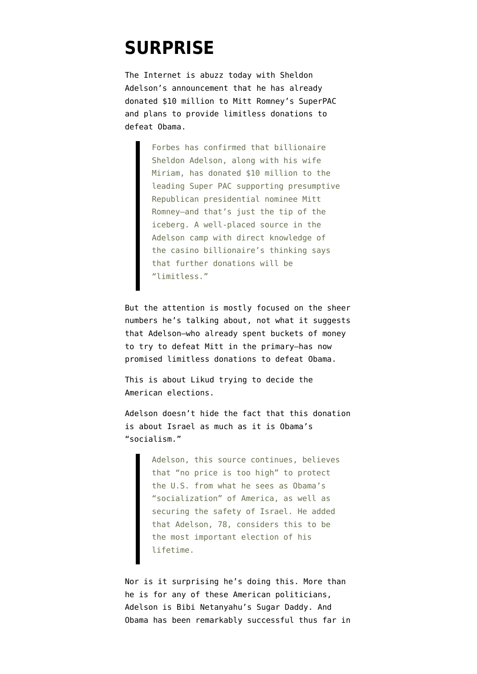### **[SURPRISE](https://www.emptywheel.net/2012/06/14/sheldon-adelson-will-buy-a-very-effective-october-surprise/)**

The Internet is abuzz today with Sheldon Adelson's [announcement](http://www.forbes.com/sites/stevenbertoni/2012/06/13/exclusive-adelsons-pro-romney-donations-will-be-limitless-could-top-100m/) that he has already donated \$10 million to Mitt Romney's SuperPAC and plans to provide limitless donations to defeat Obama.

> Forbes has confirmed that billionaire Sheldon Adelson, along with his wife Miriam, has donated \$10 million to the leading Super PAC supporting presumptive Republican presidential nominee Mitt Romney–and that's just the tip of the iceberg. A well-placed source in the Adelson camp with direct knowledge of the casino billionaire's thinking says that further donations will be "limitless."

But the attention is mostly focused on the sheer numbers he's talking about, not what it suggests that Adelson–who already spent buckets of money to try to defeat Mitt in the primary–has now promised limitless donations to defeat Obama.

This is about Likud trying to decide the American elections.

Adelson doesn't hide the fact that this donation is about Israel as much as it is Obama's "socialism."

> Adelson, this source continues, believes that "no price is too high" to protect the U.S. from what he sees as Obama's "socialization" of America, as well as securing the safety of Israel. He added that Adelson, 78, considers this to be the most important election of his lifetime.

Nor is it surprising he's doing this. More than he is for any of these American politicians, Adelson is Bibi Netanyahu's Sugar Daddy. And Obama has been remarkably successful thus far in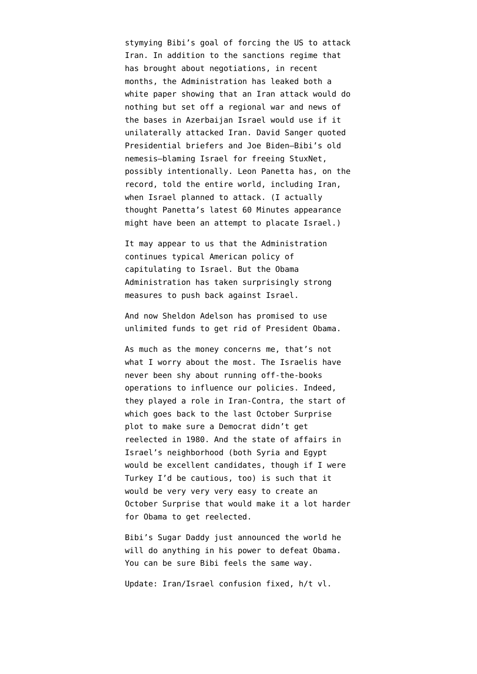stymying Bibi's goal of forcing the US to attack Iran. In addition to the sanctions regime that has brought about negotiations, in recent months, the Administration has leaked both [a](https://www.nytimes.com/2012/03/20/world/middleeast/united-states-war-game-sees-dire-results-of-an-israeli-attack-on-iran.html) [white paper](https://www.nytimes.com/2012/03/20/world/middleeast/united-states-war-game-sees-dire-results-of-an-israeli-attack-on-iran.html) showing that an Iran attack would do nothing but set off a regional war and [news of](http://www.foreignpolicy.com/articles/2012/03/28/israel_s_secret_staging_ground) [the bases](http://www.foreignpolicy.com/articles/2012/03/28/israel_s_secret_staging_ground) in Azerbaijan Israel would use if it unilaterally attacked Iran. David Sanger [quoted](http://www.emptywheel.net/2012/06/11/stuxnet-covert-op-exposing-code-in-covert-op-exposing-code-out/) Presidential briefers and Joe Biden[–Bibi's old](http://www.politico.com/blogs/laurarozen/0310/What_Biden_told_Netanyahu_behind_closed_doors_This_is_starting_to_get_dangerous_for_us.html) [nemesis–](http://www.politico.com/blogs/laurarozen/0310/What_Biden_told_Netanyahu_behind_closed_doors_This_is_starting_to_get_dangerous_for_us.html)blaming Israel for freeing StuxNet, possibly intentionally. Leon Panetta has, on the record, told the entire world, including Iran, [when Israel planned to attack](http://www.emptywheel.net/2012/02/02/your-summer-schedule-vacation-beach-iran-war/). (I actually thought [Panetta's latest 60 Minutes appearance](http://www.cbsnews.com/video/watch/?id=7411222n) might have been an attempt to placate Israel.)

It may appear to us that the Administration continues typical American policy of capitulating to Israel. But the Obama Administration has taken surprisingly strong measures to push back against Israel.

And now Sheldon Adelson has promised to use unlimited funds to get rid of President Obama.

As much as the money concerns me, that's not what I worry about the most. The Israelis have never been shy about running off-the-books operations to influence our policies. Indeed, they played a role in Iran-Contra, the start of which goes back to the last October Surprise plot to make sure a Democrat didn't get reelected in 1980. And the state of affairs in Israel's neighborhood (both Syria and Egypt would be excellent candidates, though if I were Turkey I'd be cautious, too) is such that it would be very very very easy to create an October Surprise that would make it a lot harder for Obama to get reelected.

Bibi's Sugar Daddy just announced the world he will do anything in his power to defeat Obama. You can be sure Bibi feels the same way.

Update: Iran/Israel confusion fixed, h/t vl.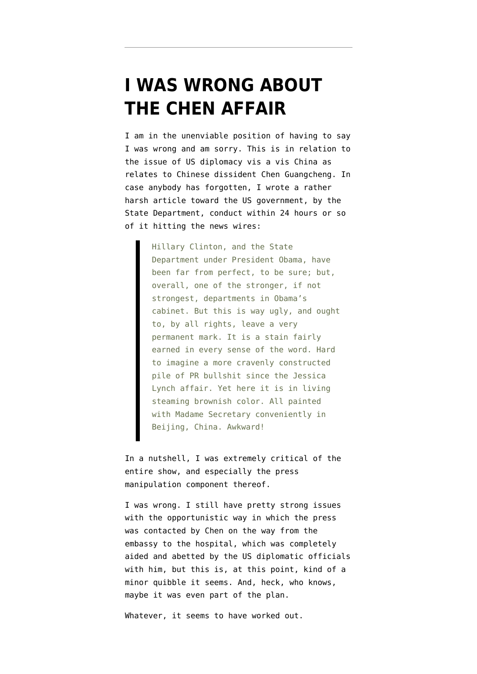### **[I WAS WRONG ABOUT](https://www.emptywheel.net/2012/05/19/i-was-wrong-about-the-chen-affair/) [THE CHEN AFFAIR](https://www.emptywheel.net/2012/05/19/i-was-wrong-about-the-chen-affair/)**

I am in the unenviable position of having to say I was wrong and am sorry. This is in relation to the issue of US diplomacy vis a vis China as relates to Chinese dissident Chen Guangcheng. In case anybody has forgotten, I wrote a [rather](http://www.emptywheel.net/2012/05/03/chen-guangcheng-the-hollow-core-of-a-press-manipulation-presidency/) [harsh article toward the US government,](http://www.emptywheel.net/2012/05/03/chen-guangcheng-the-hollow-core-of-a-press-manipulation-presidency/) by the State Department, conduct within 24 hours or so of it hitting the news wires:

> Hillary Clinton, and the State Department under President Obama, have been far from perfect, to be sure; but, overall, one of the stronger, if not strongest, departments in Obama's cabinet. But this is way ugly, and ought to, by all rights, leave a very permanent mark. It is a stain fairly earned in every sense of the word. Hard to imagine a more cravenly constructed pile of PR bullshit since the Jessica Lynch affair. Yet here it is in living steaming brownish color. All painted with Madame Secretary conveniently in Beijing, China. Awkward!

In a nutshell, I was [extremely critical](http://www.emptywheel.net/2012/05/03/chen-guangcheng-the-hollow-core-of-a-press-manipulation-presidency/) of the entire show, and especially the press manipulation component thereof.

I was wrong. I still have pretty strong issues with the opportunistic way in which the press was contacted by Chen on the way from the embassy to the hospital, which was completely aided and abetted by the US diplomatic officials with him, but this is, at this point, kind of a minor quibble it seems. And, heck, who knows, maybe it was even part of the plan.

Whatever, it seems to have worked out.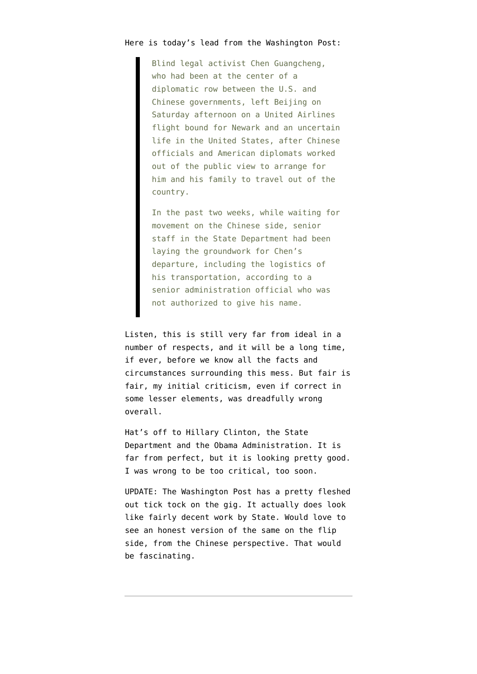#### Here is today's lead from th[e Washington Post](http://www.washingtonpost.com/world/asia_pacific/chen-guangcheng-leaves-beijing-hospital-headed-for-us/2012/05/19/gIQApKMEaU_story.html?hpid=z1):

Blind legal activist Chen Guangcheng, who had been at the center of a diplomatic row between the U.S. and Chinese governments, left Beijing on Saturday afternoon on a United Airlines flight bound for Newark and an uncertain life in the United States, after Chinese officials and American diplomats worked out of the public view to arrange for him and his family to travel out of the country.

In the past two weeks, while waiting for movement on the Chinese side, senior staff in the State Department had been laying the groundwork for Chen's departure, including the logistics of his transportation, according to a senior administration official who was not authorized to give his name.

Listen, this is still very far from ideal in a number of respects, and it will be a long time, if ever, before we know all the facts and circumstances surrounding this mess. But fair is fair, my initial criticism, even if correct in some lesser elements, was dreadfully wrong overall.

Hat's off to Hillary Clinton, the State Department and the Obama Administration. It is far from perfect, but it is looking pretty good. I was wrong to be too critical, too soon.

UPDATE: [The Washington Post has a pretty fleshed](http://www.washingtonpost.com/world/national-security/negotiations-over-dissident-chen-guangcheng-offered-rare-glimpse-into-how-chinas-leadership-operates-us-officials-say/2012/05/19/gIQAxPtsbU_story.html?hpid=z1) [out tick tock on the gig.](http://www.washingtonpost.com/world/national-security/negotiations-over-dissident-chen-guangcheng-offered-rare-glimpse-into-how-chinas-leadership-operates-us-officials-say/2012/05/19/gIQAxPtsbU_story.html?hpid=z1) It actually does look like fairly decent work by State. Would love to see an honest version of the same on the flip side, from the Chinese perspective. That would be fascinating.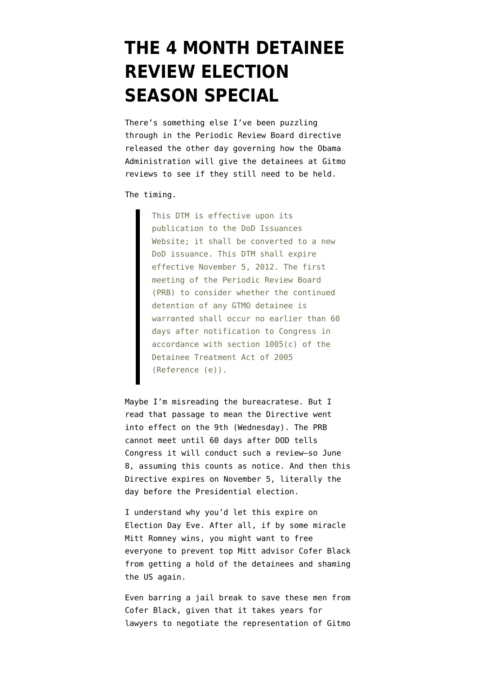### **[THE 4 MONTH DETAINEE](https://www.emptywheel.net/2012/05/11/the-4-month-detainee-review-election-season-special/) [REVIEW ELECTION](https://www.emptywheel.net/2012/05/11/the-4-month-detainee-review-election-season-special/) [SEASON SPECIAL](https://www.emptywheel.net/2012/05/11/the-4-month-detainee-review-election-season-special/)**

There's something else I've been puzzling through in the [Periodic Review Board directive](http://www.emptywheel.net/wp-content/uploads/2012/05/120509-GTMO-PRB-Guidelines.pdf) released the other day governing how the Obama Administration will give the detainees at Gitmo reviews to see if they still need to be held.

The timing.

This DTM is effective upon its publication to the DoD Issuances Website; it shall be converted to a new DoD issuance. This DTM shall expire effective November 5, 2012. The first meeting of the Periodic Review Board (PRB) to consider whether the continued detention of any GTMO detainee is warranted shall occur no earlier than 60 days after notification to Congress in accordance with section 1005(c) of the Detainee Treatment Act of 2005 (Reference (e)).

Maybe I'm misreading the bureacratese. But I read that passage to mean the Directive went into effect on the 9th (Wednesday). The PRB cannot meet until 60 days after DOD tells Congress it will conduct such a review–so June 8, assuming this counts as notice. And then this Directive expires on November 5, literally the day before the Presidential election.

I understand why you'd let this expire on Election Day Eve. After all, if by some miracle Mitt Romney wins, you might want to free everyone to prevent top Mitt advisor Cofer Black from getting a hold of the detainees and shaming the US again.

Even barring a jail break to save these men from Cofer Black, given that it takes years for lawyers to negotiate the representation of Gitmo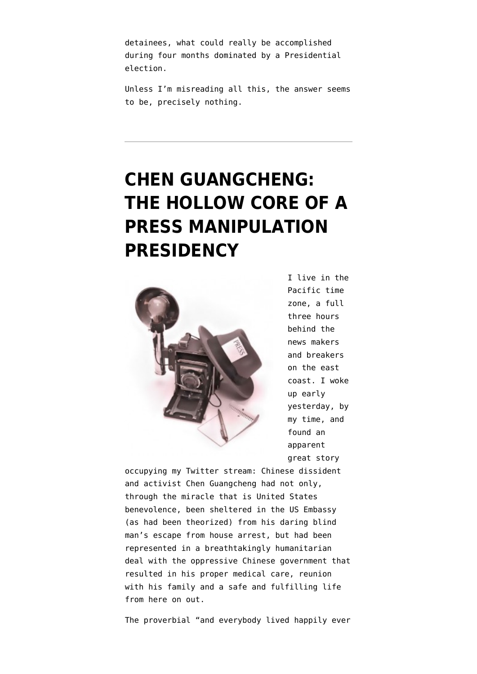detainees, what could really be accomplished during four months dominated by a Presidential election.

Unless I'm misreading all this, the answer seems to be, precisely nothing.

# **[CHEN GUANGCHENG:](https://www.emptywheel.net/2012/05/03/chen-guangcheng-the-hollow-core-of-a-press-manipulation-presidency/) [THE HOLLOW CORE OF A](https://www.emptywheel.net/2012/05/03/chen-guangcheng-the-hollow-core-of-a-press-manipulation-presidency/) [PRESS MANIPULATION](https://www.emptywheel.net/2012/05/03/chen-guangcheng-the-hollow-core-of-a-press-manipulation-presidency/) [PRESIDENCY](https://www.emptywheel.net/2012/05/03/chen-guangcheng-the-hollow-core-of-a-press-manipulation-presidency/)**



I live in the Pacific time zone, a full three hours behind the news makers and breakers on the east coast. I woke up early yesterday, by my time, and found an apparent great story

occupying my Twitter stream: Chinese dissident and activist Chen Guangcheng had not only, through the miracle that is United States benevolence, been sheltered in the US Embassy (as had been theorized) from his daring blind man's escape from house arrest, but had been represented in a breathtakingly humanitarian deal with the oppressive Chinese government that resulted in his proper medical care, reunion with his family and a safe and fulfilling life from here on out.

The proverbial "and everybody lived happily ever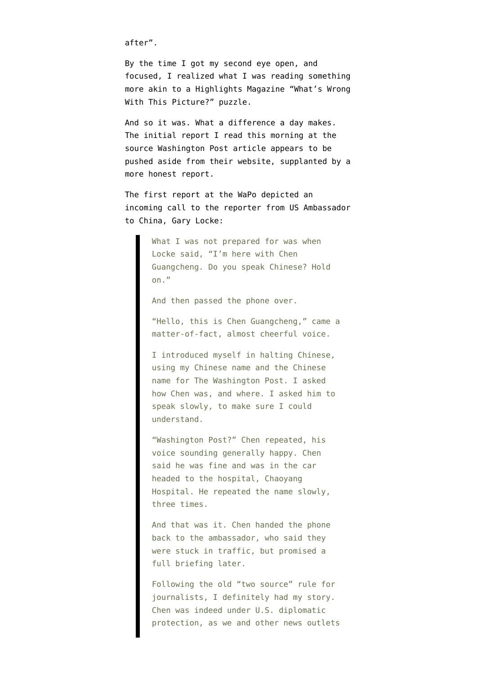after".

By the time I got my second eye open, and focused, I realized what I was reading something more akin to a Highlights Magazine ["What's Wrong](http://www.highlights.com/favorite-characters-and-features/whats-wrong) [With This Picture?"](http://www.highlights.com/favorite-characters-and-features/whats-wrong) puzzle.

And so it was. What a difference a day makes. The [initial report](http://www.washingtonpost.com/world/asia_pacific/chen-guangcheng-breaks-silence-with-phone-call-to-the-washington-post/2012/05/02/gIQA0dMJwT_story.html) I read this morning at the source Washington Post article appears to be pushed aside from their website, supplanted by [a](http://www.washingtonpost.com/world/chinese-dissident-in-us-custody-headed-to-hospital/2012/05/02/gIQAh9WrvT_story.html?hpid=z1) [more honest report.](http://www.washingtonpost.com/world/chinese-dissident-in-us-custody-headed-to-hospital/2012/05/02/gIQAh9WrvT_story.html?hpid=z1)

The [first report](http://www.washingtonpost.com/world/asia_pacific/chen-guangcheng-breaks-silence-with-phone-call-to-the-washington-post/2012/05/02/gIQA0dMJwT_story.html) at the WaPo depicted an incoming call to the reporter from US Ambassador to China, Gary Locke:

> What I was not prepared for was when Locke said, "I'm here with Chen Guangcheng. Do you speak Chinese? Hold on."

And then passed the phone over.

"Hello, this is Chen Guangcheng," came a matter-of-fact, almost cheerful voice.

I introduced myself in halting Chinese, using my Chinese name and the Chinese name for The Washington Post. I asked how Chen was, and where. I asked him to speak slowly, to make sure I could understand.

"Washington Post?" Chen repeated, his voice sounding generally happy. Chen said he was fine and was in the car headed to the hospital, Chaoyang Hospital. He repeated the name slowly, three times.

And that was it. Chen handed the phone back to the ambassador, who said they were stuck in traffic, but promised a full briefing later.

Following the old "two source" rule for journalists, I definitely had my story. Chen was indeed under U.S. diplomatic protection, as we and other news outlets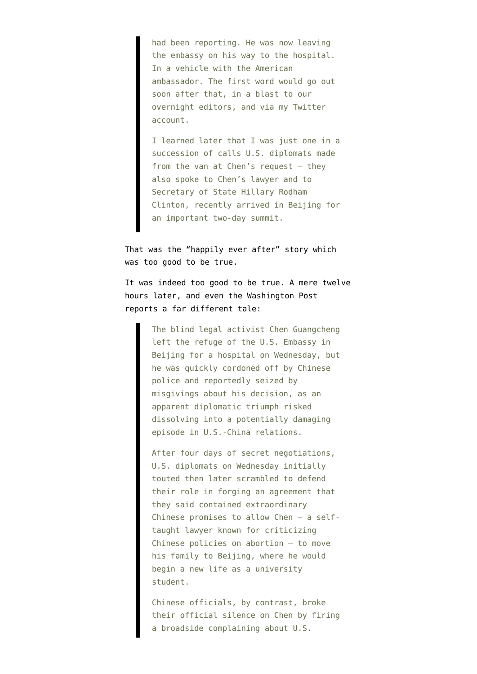had been reporting. He was now leaving the embassy on his way to the hospital. In a vehicle with the American ambassador. The first word would go out soon after that, in a blast to our overnight editors, and via my Twitter account.

I learned later that I was just one in a succession of calls U.S. diplomats made from the van at Chen's request — they also spoke to Chen's lawyer and to Secretary of State Hillary Rodham Clinton, recently arrived in Beijing for an important two-day summit.

That was the "happily ever after" story which was too good to be true.

It was indeed too good to be true. A mere twelve hours later, and even the Washington Post reports a [far different tale](http://www.washingtonpost.com/world/chinese-dissident-in-us-custody-headed-to-hospital/2012/05/02/gIQAh9WrvT_story.html?hpid=z1):

> The blind legal activist Chen Guangcheng left the refuge of the U.S. Embassy in Beijing for a hospital on Wednesday, but he was quickly cordoned off by Chinese police and reportedly seized by misgivings about his decision, as an apparent diplomatic triumph risked dissolving into a potentially damaging episode in U.S.-China relations.

> After four days of secret negotiations, U.S. diplomats on Wednesday initially touted then later scrambled to defend their role in forging an agreement that they said contained extraordinary Chinese promises to allow Chen — a selftaught lawyer known for criticizing Chinese policies on abortion — to move his family to Beijing, where he would begin a new life as a university student.

> Chinese officials, by contrast, broke their official silence on Chen by firing a broadside complaining about U.S.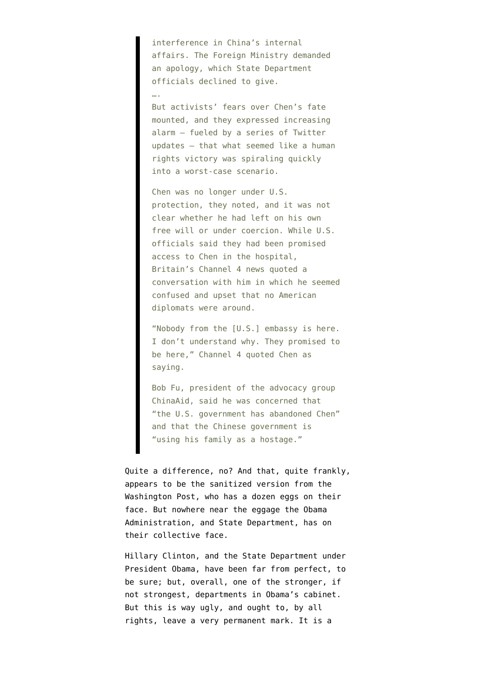interference in China's internal affairs. The Foreign Ministry demanded an apology, which State Department officials declined to give.

….

But activists' fears over Chen's fate mounted, and they expressed increasing alarm — fueled by a series of Twitter updates — that what seemed like a human rights victory was spiraling quickly into a worst-case scenario.

Chen was no longer under U.S. protection, they noted, and it was not clear whether he had left on his own free will or under coercion. While U.S. officials said they had been promised access to Chen in the hospital, Britain's Channel 4 news quoted a conversation with him in which he seemed confused and upset that no American diplomats were around.

"Nobody from the [U.S.] embassy is here. I don't understand why. They promised to be here," Channel 4 quoted Chen as saying.

Bob Fu, president of the advocacy group ChinaAid, said he was concerned that "the U.S. government has abandoned Chen" and that the Chinese government is "using his family as a hostage."

Quite a difference, no? And that, quite frankly, appears to be the sanitized version from the Washington Post, who has a dozen eggs on their face. But nowhere near the eggage the Obama Administration, and State Department, has on their collective face.

Hillary Clinton, and the State Department under President Obama, have been far from perfect, to be sure; but, overall, one of the stronger, if not strongest, departments in Obama's cabinet. But this is way ugly, and ought to, by all rights, leave a very permanent mark. It is a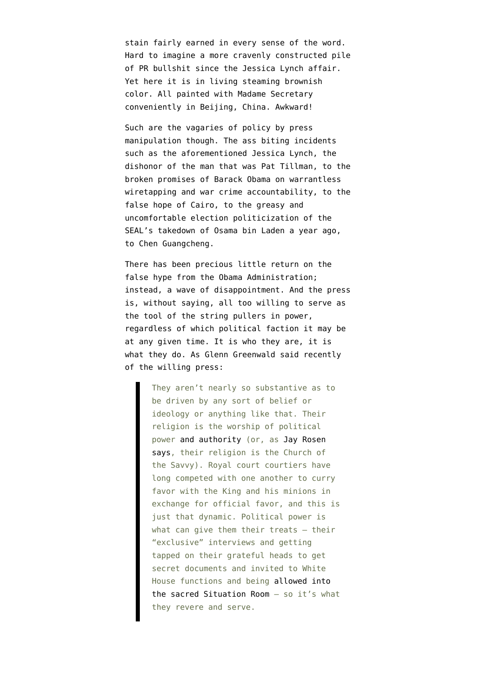stain fairly earned in every sense of the word. Hard to imagine a more cravenly constructed pile of PR bullshit since the [Jessica Lynch affair](http://www.guardian.co.uk/world/2003/may/15/iraq.usa2). Yet here it is in living steaming brownish color. All painted with [Madame Secretary](http://www.state.gov/r/pa/prs/appt/2012/05/189094.htm) [conveniently in Beijing, China.](http://www.state.gov/r/pa/prs/appt/2012/05/189094.htm) Awkward!

Such are the vagaries of policy by press manipulation though. The ass biting incidents such as the aforementioned Jessica Lynch, the [dishonor of the man that was Pat Tillman,](http://www.emptywheel.net/2009/01/31/pat-tillmans-super-bowl/) to the broken promises of Barack Obama on [warrantless](http://boingboing.net/2010/06/16/jon-stewart-on-obama.html) [wiretapping and war crime accountability,](http://boingboing.net/2010/06/16/jon-stewart-on-obama.html) to the [false hope of Cairo](http://emptywheel.firedoglake.com/2009/06/04/obamas-cairo-speech/), to the greasy and [uncomfortable election politicization of the](http://www.emptywheel.net/2012/04/27/peter-bergens-bumper-sticker/) [SEAL's takedown of Osama bin Laden](http://www.emptywheel.net/2012/04/27/peter-bergens-bumper-sticker/) a year ago, to Chen Guangcheng.

There has been precious little return on the false hype from the Obama Administration; instead, a [wave of disappointment.](http://www.guardian.co.uk/commentisfree/2012/apr/22/abroad-obama-coasts-wave-disappointment) And the press is, without saying, all too willing to serve as the tool of the string pullers in power, regardless of which political faction it may be at any given time. It is who they are, it is what they do. As [Glenn Greenwald said recently](http://www.salon.com/2012/04/30/dog_training_the_press_corps/) of the willing press:

> They aren't nearly so substantive as to be driven by any sort of belief or ideology or anything like that. Their religion is the worship of political power [and authority](http://reason.com/archives/2010/11/01/the-media-arent-liberal) (or, as [Jay Rosen](http://jayrosen.posterous.com/the-savvy-press-and-their-exemption-from-the) [says](http://jayrosen.posterous.com/the-savvy-press-and-their-exemption-from-the), their religion is the Church of the Savvy). Royal court courtiers have long competed with one another to curry favor with the King and his minions in exchange for official favor, and this is just that dynamic. Political power is what can give them their treats - their "exclusive" interviews and getting tapped on their grateful heads to get secret documents and invited to White House functions and being [allowed into](http://www.twitlonger.com/show/h677q3) [the sacred Situation Room](http://www.twitlonger.com/show/h677q3) – so it's what they revere and serve.